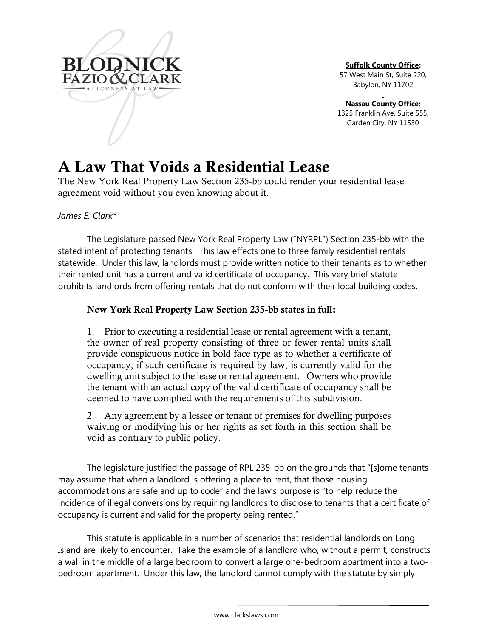

**Suffolk County Office:**

57 West Main St, Suite 220, Babylon, NY 11702

**Nassau County Office:**

1325 Franklin Ave, Suite 555, Garden City, NY 11530

# A Law That Voids a Residential Lease

The New York Real Property Law Section 235-bb could render your residential lease agreement void without you even knowing about it.

## *James E. Clark\**

The Legislature passed New York Real Property Law ("NYRPL") Section 235-bb with the stated intent of protecting tenants. This law effects one to three family residential rentals statewide. Under this law, landlords must provide written notice to their tenants as to whether their rented unit has a current and valid certificate of occupancy. This very brief statute prohibits landlords from offering rentals that do not conform with their local building codes.

## New York Real Property Law Section 235-bb states in full:

1. Prior to executing a residential lease or rental agreement with a tenant, the owner of real property consisting of three or fewer rental units shall provide conspicuous notice in bold face type as to whether a certificate of occupancy, if such certificate is required by law, is currently valid for the dwelling unit subject to the lease or rental agreement. Owners who provide the tenant with an actual copy of the valid certificate of occupancy shall be deemed to have complied with the requirements of this subdivision.

2. Any agreement by a lessee or tenant of premises for dwelling purposes waiving or modifying his or her rights as set forth in this section shall be void as contrary to public policy.

The legislature justified the passage of RPL 235-bb on the grounds that "[s]ome tenants may assume that when a landlord is offering a place to rent, that those housing accommodations are safe and up to code" and the law's purpose is "to help reduce the incidence of illegal conversions by requiring landlords to disclose to tenants that a certificate of occupancy is current and valid for the property being rented."

This statute is applicable in a number of scenarios that residential landlords on Long Island are likely to encounter. Take the example of a landlord who, without a permit, constructs a wall in the middle of a large bedroom to convert a large one-bedroom apartment into a twobedroom apartment. Under this law, the landlord cannot comply with the statute by simply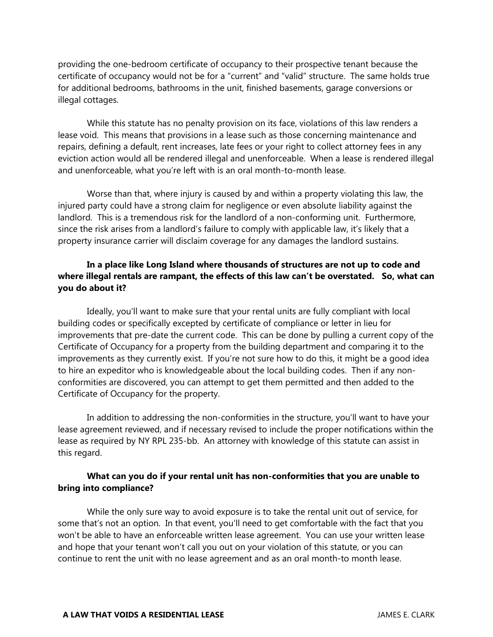providing the one-bedroom certificate of occupancy to their prospective tenant because the certificate of occupancy would not be for a "current" and "valid" structure. The same holds true for additional bedrooms, bathrooms in the unit, finished basements, garage conversions or illegal cottages.

While this statute has no penalty provision on its face, violations of this law renders a lease void. This means that provisions in a lease such as those concerning maintenance and repairs, defining a default, rent increases, late fees or your right to collect attorney fees in any eviction action would all be rendered illegal and unenforceable. When a lease is rendered illegal and unenforceable, what you're left with is an oral month-to-month lease.

Worse than that, where injury is caused by and within a property violating this law, the injured party could have a strong claim for negligence or even absolute liability against the landlord. This is a tremendous risk for the landlord of a non-conforming unit. Furthermore, since the risk arises from a landlord's failure to comply with applicable law, it's likely that a property insurance carrier will disclaim coverage for any damages the landlord sustains.

## **In a place like Long Island where thousands of structures are not up to code and where illegal rentals are rampant, the effects of this law can't be overstated. So, what can you do about it?**

Ideally, you'll want to make sure that your rental units are fully compliant with local building codes or specifically excepted by certificate of compliance or letter in lieu for improvements that pre-date the current code. This can be done by pulling a current copy of the Certificate of Occupancy for a property from the building department and comparing it to the improvements as they currently exist. If you're not sure how to do this, it might be a good idea to hire an expeditor who is knowledgeable about the local building codes. Then if any nonconformities are discovered, you can attempt to get them permitted and then added to the Certificate of Occupancy for the property.

In addition to addressing the non-conformities in the structure, you'll want to have your lease agreement reviewed, and if necessary revised to include the proper notifications within the lease as required by NY RPL 235-bb. An attorney with knowledge of this statute can assist in this regard.

#### **What can you do if your rental unit has non-conformities that you are unable to bring into compliance?**

While the only sure way to avoid exposure is to take the rental unit out of service, for some that's not an option. In that event, you'll need to get comfortable with the fact that you won't be able to have an enforceable written lease agreement. You can use your written lease and hope that your tenant won't call you out on your violation of this statute, or you can continue to rent the unit with no lease agreement and as an oral month-to month lease.